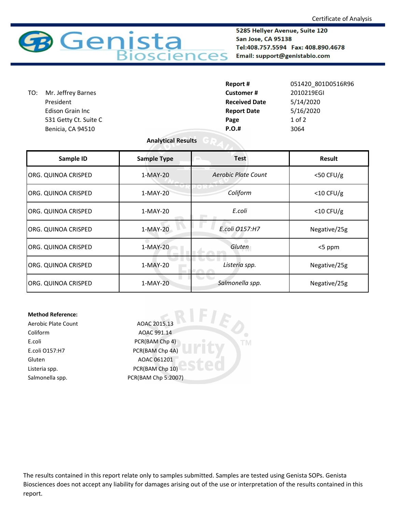

5285 Hellyer Avenue, Suite 120 San Jose, CA 95138 Tel:408.757.5594 Fax: 408.890.4678 Email: support@genistabio.com

|     |                       | Report #             | 051420 801D0516R96 |
|-----|-----------------------|----------------------|--------------------|
| TO: | Mr. Jeffrey Barnes    | <b>Customer#</b>     | 2010219EGI         |
|     | President             | <b>Received Date</b> | 5/14/2020          |
|     | Edison Grain Inc      | <b>Report Date</b>   | 5/16/2020          |
|     | 531 Getty Ct. Suite C | Page                 | $1$ of $2$         |
|     | Benicia, CA 94510     | <b>P.O.#</b>         | 3064               |
|     |                       |                      |                    |

## **Analytical Results**

| Sample ID           | <b>Sample Type</b> | <b>Test</b>         | Result       |
|---------------------|--------------------|---------------------|--------------|
| ORG. QUINOA CRISPED | 1-MAY-20           | Aerobic Plate Count | $<$ 50 CFU/g |
| ORG. QUINOA CRISPED | 1-MAY-20           | Coliform            | $<$ 10 CFU/g |
| ORG. QUINOA CRISPED | 1-MAY-20           | E.coli              | $<$ 10 CFU/g |
| ORG. QUINOA CRISPED | $1-MAY-20$         | E.coli 0157:H7      | Negative/25g |
| ORG. QUINOA CRISPED | $1-MAY-20$         | Gluten              | <5 ppm       |
| ORG. QUINOA CRISPED | 1-MAY-20           | Listeria spp.       | Negative/25g |
| ORG. QUINOA CRISPED | 1-MAY-20           | Salmonella spp.     | Negative/25g |

**TM** 

## **Method Reference:**

Coliform AOAC 991.14 E.coli PCR(BAM Chp 4) E.coli O157:H7 PCR(BAM Chp 4A) Gluten AOAC 061201 Listeria spp. The CR(BAM Chp 10)

Aerobic Plate Count AOAC 2015.13 Salmonella spp. PCR(BAM Chp 5:2007)

The results contained in this report relate only to samples submitted. Samples are tested using Genista SOPs. Genista Biosciences does not accept any liability for damages arising out of the use or interpretation of the results contained in this report.